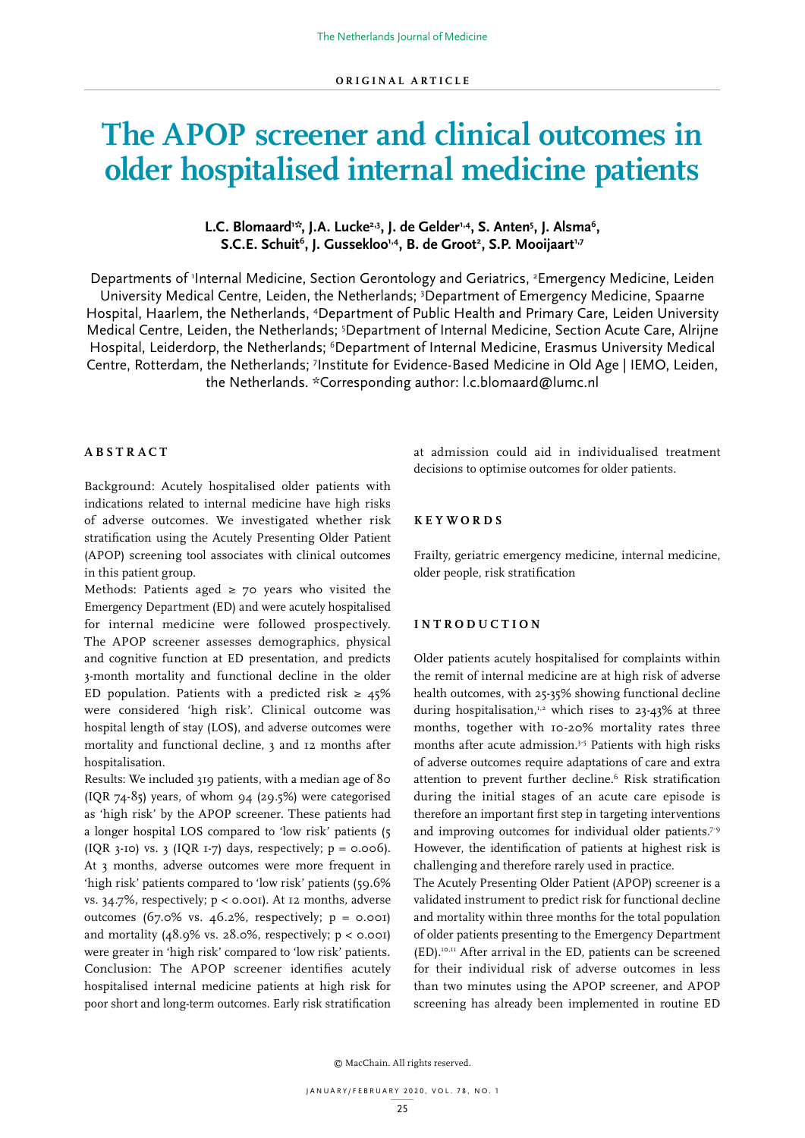# **The APOP screener and clinical outcomes in older hospitalised internal medicine patients**

# L.C. Blomaard<sup>1,\*</sup>, J.A. Lucke<sup>2,3</sup>, J. de Gelder<sup>1,4</sup>, S. Anten<sup>5</sup>, J. Alsma<sup>6</sup>,  $S.C.E.$  Schuit<sup>6</sup>, J. Gussekloo<sup>1,4</sup>, B. de Groot<sup>2</sup>, S.P. Mooijaart<sup>1,7</sup>

Departments of 'Internal Medicine, Section Gerontology and Geriatrics, <sup>2</sup>Emergency Medicine, Leiden University Medical Centre, Leiden, the Netherlands; <sup>3</sup>Department of Emergency Medicine, Spaarne Hospital, Haarlem, the Netherlands, <sup>4</sup>Department of Public Health and Primary Care, Leiden University Medical Centre, Leiden, the Netherlands; <sup>5</sup>Department of Internal Medicine, Section Acute Care, Alrijne Hospital, Leiderdorp, the Netherlands; <sup>6</sup>Department of Internal Medicine, Erasmus University Medical Centre, Rotterdam, the Netherlands; <sup>7</sup>Institute for Evidence-Based Medicine in Old Age | IEMO, Leiden, the Netherlands. \*Corresponding author: l.c.blomaard@lumc.nl

# **ABSTRACT**

Background: Acutely hospitalised older patients with indications related to internal medicine have high risks of adverse outcomes. We investigated whether risk stratification using the Acutely Presenting Older Patient (APOP) screening tool associates with clinical outcomes in this patient group.

Methods: Patients aged  $\geq$  70 years who visited the Emergency Department (ED) and were acutely hospitalised for internal medicine were followed prospectively. The APOP screener assesses demographics, physical and cognitive function at ED presentation, and predicts 3-month mortality and functional decline in the older ED population. Patients with a predicted risk  $\geq 45\%$ were considered 'high risk'. Clinical outcome was hospital length of stay (LOS), and adverse outcomes were mortality and functional decline, 3 and 12 months after hospitalisation.

Results: We included 319 patients, with a median age of 80  $( IQR 74-85)$  years, of whom 94 (29.5%) were categorised as 'high risk' by the APOP screener. These patients had a longer hospital LOS compared to 'low risk' patients (5 (IQR 3-10) vs. 3 (IQR 1-7) days, respectively;  $p = 0.006$ ). At 3 months, adverse outcomes were more frequent in 'high risk' patients compared to 'low risk' patients (59.6% vs.  $34.7\%$ , respectively;  $p <$  0.001). At 12 months, adverse outcomes  $(67.0\% \text{ vs. } 46.2\% \text{, respectively}; \text{ p} = 0.001)$ and mortality  $(48.9\% \text{ vs. } 28.0\% \text{, respectively; } p < 0.001)$ were greater in 'high risk' compared to 'low risk' patients. Conclusion: The APOP screener identifies acutely hospitalised internal medicine patients at high risk for poor short and long-term outcomes. Early risk stratification

at admission could aid in individualised treatment decisions to optimise outcomes for older patients.

# **KEYWORDS**

Frailty, geriatric emergency medicine, internal medicine, older people, risk stratification

# **I N T R O D U C T I O N**

Older patients acutely hospitalised for complaints within the remit of internal medicine are at high risk of adverse health outcomes, with 25-35% showing functional decline during hospitalisation, $1,2$  which rises to 23-43% at three months, together with 10-20% mortality rates three months after acute admission.<sup>3-5</sup> Patients with high risks of adverse outcomes require adaptations of care and extra attention to prevent further decline.<sup>6</sup> Risk stratification during the initial stages of an acute care episode is therefore an important first step in targeting interventions and improving outcomes for individual older patients.<sup>7-9</sup> However, the identification of patients at highest risk is challenging and therefore rarely used in practice.

The Acutely Presenting Older Patient (APOP) screener is a validated instrument to predict risk for functional decline and mortality within three months for the total population of older patients presenting to the Emergency Department (ED).10,11 After arrival in the ED, patients can be screened for their individual risk of adverse outcomes in less than two minutes using the APOP screener, and APOP screening has already been implemented in routine ED

© MacChain. All rights reserved.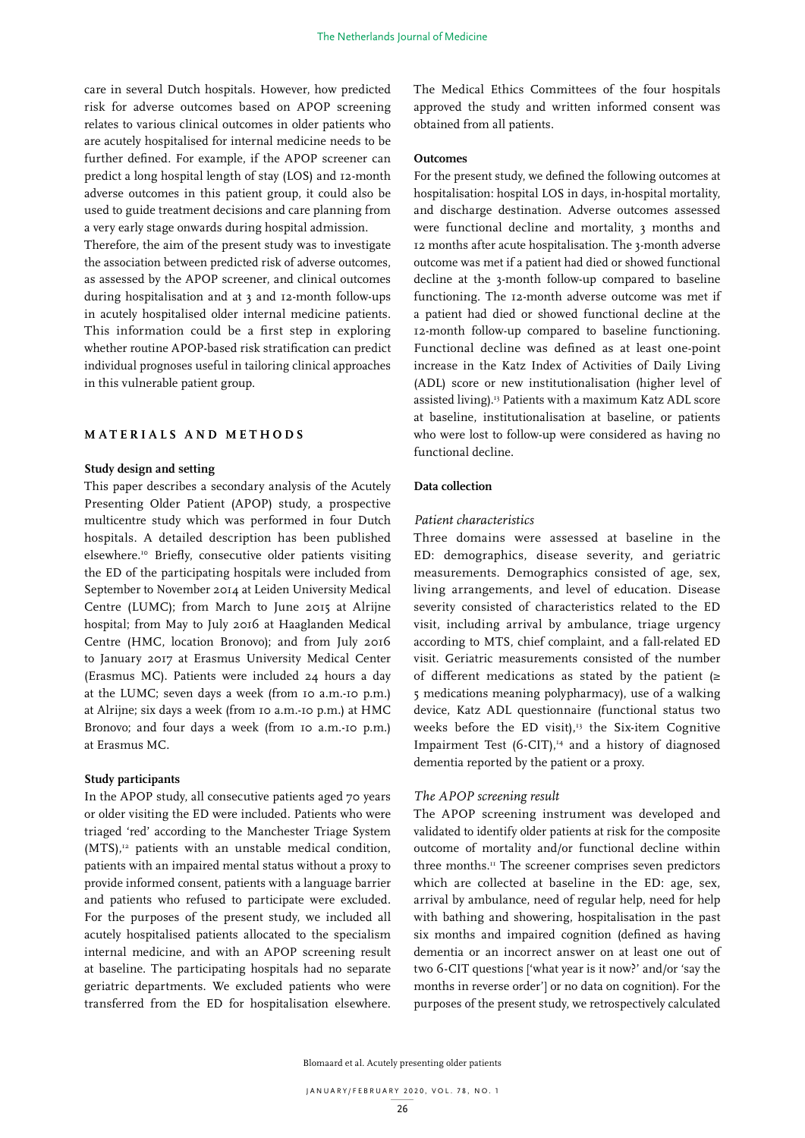care in several Dutch hospitals. However, how predicted risk for adverse outcomes based on APOP screening relates to various clinical outcomes in older patients who are acutely hospitalised for internal medicine needs to be further defined. For example, if the APOP screener can predict a long hospital length of stay (LOS) and 12-month adverse outcomes in this patient group, it could also be used to guide treatment decisions and care planning from a very early stage onwards during hospital admission.

Therefore, the aim of the present study was to investigate the association between predicted risk of adverse outcomes, as assessed by the APOP screener, and clinical outcomes during hospitalisation and at 3 and 12-month follow-ups in acutely hospitalised older internal medicine patients. This information could be a first step in exploring whether routine APOP-based risk stratification can predict individual prognoses useful in tailoring clinical approaches in this vulnerable patient group.

# **MATERIALS AND METHODS**

## **Study design and setting**

This paper describes a secondary analysis of the Acutely Presenting Older Patient (APOP) study, a prospective multicentre study which was performed in four Dutch hospitals. A detailed description has been published elsewhere.10 Briefly, consecutive older patients visiting the ED of the participating hospitals were included from September to November 2014 at Leiden University Medical Centre (LUMC); from March to June 2015 at Alrijne hospital; from May to July 2016 at Haaglanden Medical Centre (HMC, location Bronovo); and from July 2016 to January 2017 at Erasmus University Medical Center (Erasmus MC). Patients were included 24 hours a day at the LUMC; seven days a week (from 10 a.m.-10 p.m.) at Alrijne; six days a week (from 10 a.m.-10 p.m.) at HMC Bronovo; and four days a week (from 10 a.m.-10 p.m.) at Erasmus MC.

# **Study participants**

In the APOP study, all consecutive patients aged 70 years or older visiting the ED were included. Patients who were triaged 'red' according to the Manchester Triage System  $(MTS)$ ,<sup>12</sup> patients with an unstable medical condition, patients with an impaired mental status without a proxy to provide informed consent, patients with a language barrier and patients who refused to participate were excluded. For the purposes of the present study, we included all acutely hospitalised patients allocated to the specialism internal medicine, and with an APOP screening result at baseline. The participating hospitals had no separate geriatric departments. We excluded patients who were transferred from the ED for hospitalisation elsewhere.

The Medical Ethics Committees of the four hospitals approved the study and written informed consent was obtained from all patients.

# **Outcomes**

For the present study, we defined the following outcomes at hospitalisation: hospital LOS in days, in-hospital mortality, and discharge destination. Adverse outcomes assessed were functional decline and mortality, 3 months and 12 months after acute hospitalisation. The 3-month adverse outcome was met if a patient had died or showed functional decline at the 3-month follow-up compared to baseline functioning. The 12-month adverse outcome was met if a patient had died or showed functional decline at the 12-month follow-up compared to baseline functioning. Functional decline was defined as at least one-point increase in the Katz Index of Activities of Daily Living (ADL) score or new institutionalisation (higher level of assisted living).13 Patients with a maximum Katz ADL score at baseline, institutionalisation at baseline, or patients who were lost to follow-up were considered as having no functional decline.

# **Data collection**

### *Patient characteristics*

Three domains were assessed at baseline in the ED: demographics, disease severity, and geriatric measurements. Demographics consisted of age, sex, living arrangements, and level of education. Disease severity consisted of characteristics related to the ED visit, including arrival by ambulance, triage urgency according to MTS, chief complaint, and a fall-related ED visit. Geriatric measurements consisted of the number of different medications as stated by the patient ( $\ge$ 5 medications meaning polypharmacy), use of a walking device, Katz ADL questionnaire (functional status two weeks before the ED visit), $13$  the Six-item Cognitive Impairment Test  $(6-CIT)$ ,<sup>14</sup> and a history of diagnosed dementia reported by the patient or a proxy.

## *The APOP screening result*

The APOP screening instrument was developed and validated to identify older patients at risk for the composite outcome of mortality and/or functional decline within three months.<sup>11</sup> The screener comprises seven predictors which are collected at baseline in the ED: age, sex, arrival by ambulance, need of regular help, need for help with bathing and showering, hospitalisation in the past six months and impaired cognition (defined as having dementia or an incorrect answer on at least one out of two 6-CIT questions ['what year is it now?' and/or 'say the months in reverse order'] or no data on cognition). For the purposes of the present study, we retrospectively calculated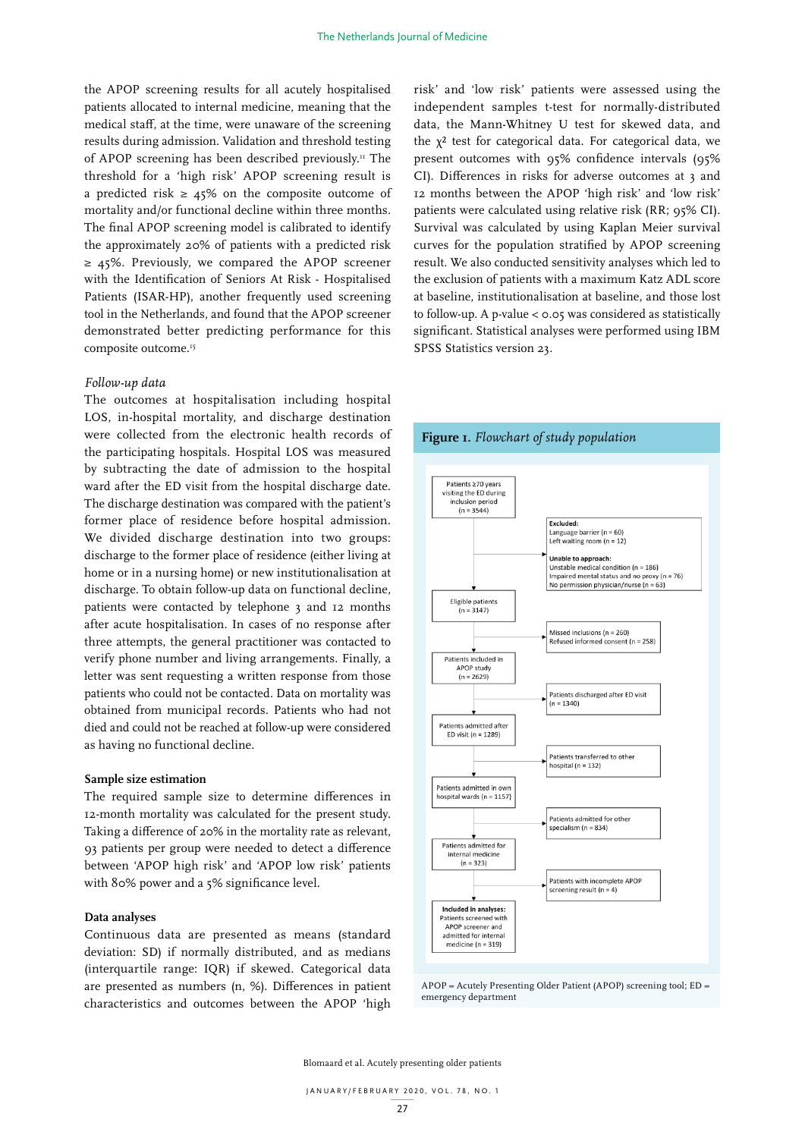the APOP screening results for all acutely hospitalised patients allocated to internal medicine, meaning that the medical staff, at the time, were unaware of the screening results during admission. Validation and threshold testing of APOP screening has been described previously.<sup>11</sup> The threshold for a 'high risk' APOP screening result is a predicted risk  $\geq 45\%$  on the composite outcome of mortality and/or functional decline within three months. The final APOP screening model is calibrated to identify the approximately 20% of patients with a predicted risk ≥ 45%. Previously, we compared the APOP screener with the Identification of Seniors At Risk - Hospitalised Patients (ISAR-HP), another frequently used screening tool in the Netherlands, and found that the APOP screener demonstrated better predicting performance for this composite outcome.<sup>15</sup>

## *Follow-up data*

The outcomes at hospitalisation including hospital LOS, in-hospital mortality, and discharge destination were collected from the electronic health records of the participating hospitals. Hospital LOS was measured by subtracting the date of admission to the hospital ward after the ED visit from the hospital discharge date. The discharge destination was compared with the patient's former place of residence before hospital admission. We divided discharge destination into two groups: discharge to the former place of residence (either living at home or in a nursing home) or new institutionalisation at discharge. To obtain follow-up data on functional decline, patients were contacted by telephone 3 and 12 months after acute hospitalisation. In cases of no response after three attempts, the general practitioner was contacted to verify phone number and living arrangements. Finally, a letter was sent requesting a written response from those patients who could not be contacted. Data on mortality was obtained from municipal records. Patients who had not died and could not be reached at follow-up were considered as having no functional decline.

### **Sample size estimation**

The required sample size to determine differences in 12-month mortality was calculated for the present study. Taking a difference of 20% in the mortality rate as relevant, 93 patients per group were needed to detect a difference between 'APOP high risk' and 'APOP low risk' patients with 80% power and a 5% significance level.

## **Data analyses**

Continuous data are presented as means (standard deviation: SD) if normally distributed, and as medians (interquartile range: IQR) if skewed. Categorical data are presented as numbers (n, %). Differences in patient characteristics and outcomes between the APOP 'high risk' and 'low risk' patients were assessed using the independent samples t-test for normally-distributed data, the Mann-Whitney U test for skewed data, and the  $\chi^2$  test for categorical data. For categorical data, we present outcomes with 95% confidence intervals (95% CI). Differences in risks for adverse outcomes at 3 and 12 months between the APOP 'high risk' and 'low risk' patients were calculated using relative risk (RR; 95% CI). Survival was calculated by using Kaplan Meier survival curves for the population stratified by APOP screening result. We also conducted sensitivity analyses which led to the exclusion of patients with a maximum Katz ADL score at baseline, institutionalisation at baseline, and those lost to follow-up. A p-value < 0.05 was considered as statistically significant. Statistical analyses were performed using IBM SPSS Statistics version 23.



# **Figure 1.** *Flowchart of study population*

APOP = Acutely Presenting Older Patient (APOP) screening tool; ED = emergency department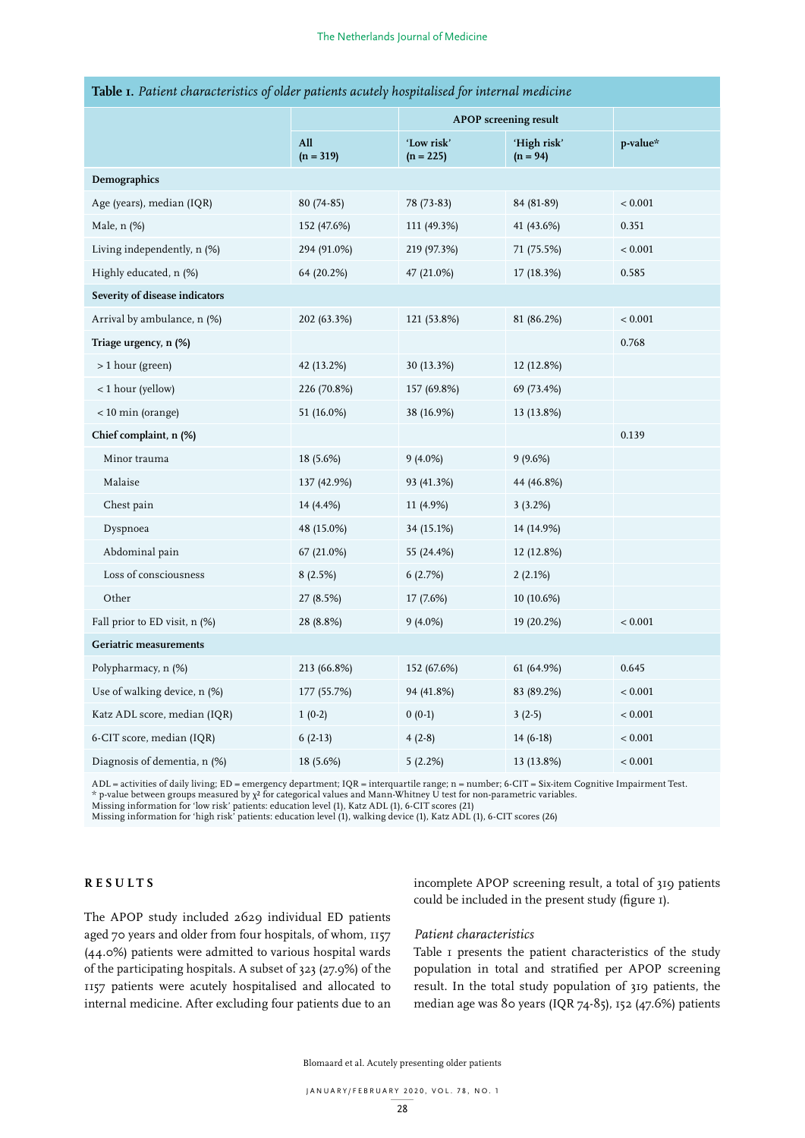|                                 |                    | <b>APOP</b> screening result |                           |          |  |  |  |  |
|---------------------------------|--------------------|------------------------------|---------------------------|----------|--|--|--|--|
|                                 | All<br>$(n = 319)$ | 'Low risk'<br>$(n = 225)$    | 'High risk'<br>$(n = 94)$ | p-value* |  |  |  |  |
| Demographics                    |                    |                              |                           |          |  |  |  |  |
| Age (years), median (IQR)       | 80 (74-85)         | 78 (73-83)                   | 84 (81-89)                | < 0.001  |  |  |  |  |
| Male, n (%)                     | 152 (47.6%)        | 111 (49.3%)                  | 41 (43.6%)                | 0.351    |  |  |  |  |
| Living independently, n (%)     | 294 (91.0%)        | 219 (97.3%)                  | 71 (75.5%)                | < 0.001  |  |  |  |  |
| Highly educated, n (%)          | 64 (20.2%)         | 47 (21.0%)                   | 17 (18.3%)                | 0.585    |  |  |  |  |
| Severity of disease indicators  |                    |                              |                           |          |  |  |  |  |
| Arrival by ambulance, n (%)     | 202 (63.3%)        | 121 (53.8%)                  | 81 (86.2%)                | < 0.001  |  |  |  |  |
| Triage urgency, n (%)           |                    |                              |                           | 0.768    |  |  |  |  |
| > 1 hour (green)                | 42 (13.2%)         | 30 (13.3%)                   | 12 (12.8%)                |          |  |  |  |  |
| < 1 hour (yellow)               | 226 (70.8%)        | 157 (69.8%)                  | 69 (73.4%)                |          |  |  |  |  |
| $<$ 10 min (orange)             | 51 (16.0%)         | 38 (16.9%)                   | 13 (13.8%)                |          |  |  |  |  |
| Chief complaint, n (%)          |                    |                              |                           | 0.139    |  |  |  |  |
| Minor trauma                    | 18 (5.6%)          | $9(4.0\%)$                   | 9(9.6%)                   |          |  |  |  |  |
| Malaise                         | 137 (42.9%)        | 93 (41.3%)                   | 44 (46.8%)                |          |  |  |  |  |
| Chest pain                      | 14 (4.4%)          | 11 (4.9%)                    | 3(3.2%)                   |          |  |  |  |  |
| Dyspnoea                        | 48 (15.0%)         | 34 (15.1%)                   | 14 (14.9%)                |          |  |  |  |  |
| Abdominal pain                  | 67 (21.0%)         | 55 (24.4%)                   | 12 (12.8%)                |          |  |  |  |  |
| Loss of consciousness           | 8(2.5%)            | 6(2.7%)                      | 2(2.1%)                   |          |  |  |  |  |
| Other                           | 27 (8.5%)          | 17 (7.6%)                    | 10 (10.6%)                |          |  |  |  |  |
| Fall prior to ED visit, $n$ (%) | 28 (8.8%)          | $9(4.0\%)$                   | 19 (20.2%)                | < 0.001  |  |  |  |  |
| <b>Geriatric measurements</b>   |                    |                              |                           |          |  |  |  |  |
| Polypharmacy, n (%)             | 213 (66.8%)        | 152 (67.6%)                  | 61 (64.9%)                | 0.645    |  |  |  |  |
| Use of walking device, n (%)    | 177 (55.7%)        | 94 (41.8%)                   | 83 (89.2%)                | < 0.001  |  |  |  |  |
| Katz ADL score, median (IQR)    | $1(0-2)$           | $0(0-1)$                     | $3(2-5)$                  | < 0.001  |  |  |  |  |
| 6-CIT score, median (IQR)       | $6(2-13)$          | $4(2-8)$                     | $14(6-18)$                | < 0.001  |  |  |  |  |
| Diagnosis of dementia, n (%)    | 18 (5.6%)          | 5(2.2%)                      | 13 (13.8%)                | < 0.001  |  |  |  |  |

# **Table 1.** *Patient characteristics of older patients acutely hospitalised for internal medicine*

ADL = activities of daily living; ED = emergency department; IQR = interquartile range; n = number; 6-CIT = Six-item Cognitive Impairment Test. \* p-value between groups measured by χ² for categorical values and Mann-Whitney U test for non-parametric variables.<br>Missing information for 'low risk' patients: education level (1), Katz ADL (1), 6-CIT scores (21)

Missing information for 'high risk' patients: education level (1), walking device (1), Katz ADL (1), 6-CIT scores (26)

# **RESULTS**

incomplete APOP screening result, a total of 319 patients could be included in the present study (figure 1).

The APOP study included 2629 individual ED patients aged 70 years and older from four hospitals, of whom, 1157 (44.0%) patients were admitted to various hospital wards of the participating hospitals. A subset of 323 (27.9%) of the 1157 patients were acutely hospitalised and allocated to internal medicine. After excluding four patients due to an

# *Patient characteristics*

Table 1 presents the patient characteristics of the study population in total and stratified per APOP screening result. In the total study population of 319 patients, the median age was 80 years (IQR 74-85), 152 (47.6%) patients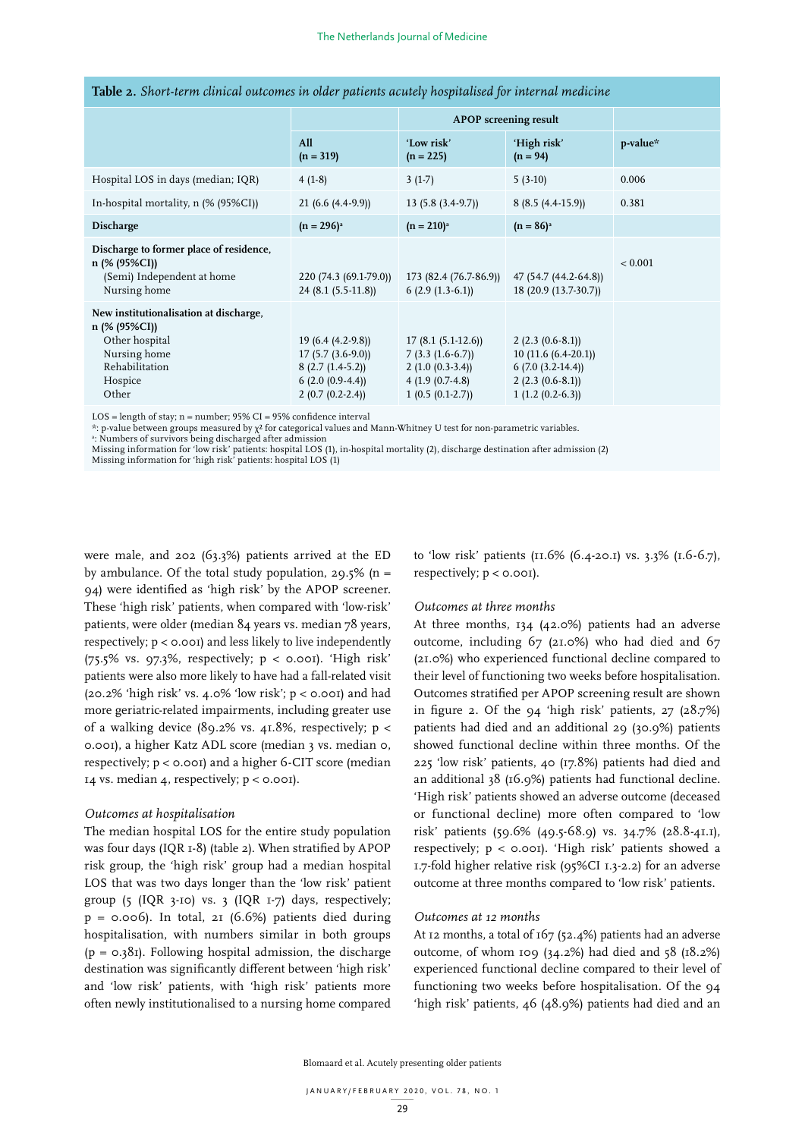|                                                                                                                                 |                                                                                                         | <b>APOP</b> screening result                                                                            |                                                                                                           |          |
|---------------------------------------------------------------------------------------------------------------------------------|---------------------------------------------------------------------------------------------------------|---------------------------------------------------------------------------------------------------------|-----------------------------------------------------------------------------------------------------------|----------|
|                                                                                                                                 | All<br>$(n = 319)$                                                                                      | 'Low risk'<br>$(n = 225)$                                                                               | 'High risk'<br>$(n = 94)$                                                                                 | p-value* |
| Hospital LOS in days (median; IQR)                                                                                              | $4(1-8)$                                                                                                | $3(1-7)$                                                                                                | $5(3-10)$                                                                                                 | 0.006    |
| In-hospital mortality, n (% (95%CI))                                                                                            | $21(6.6(4.4-9.9))$                                                                                      | $13(5.8(3.4-9.7))$                                                                                      | $8(8.5(4.4-15.9))$                                                                                        | 0.381    |
| Discharge                                                                                                                       | $(n = 296)^{a}$                                                                                         | $(n = 210)^{a}$                                                                                         | $(n = 86)^{a}$                                                                                            |          |
| Discharge to former place of residence,<br>n (% (95%CI))<br>(Semi) Independent at home<br>Nursing home                          | 220 (74.3 (69.1-79.0))<br>$24(8.1(5.5-11.8))$                                                           | 173 (82.4 (76.7-86.9)) 47 (54.7 (44.2-64.8))<br>$6(2.9(1.3-6.1))$                                       | 18 (20.9 (13.7-30.7))                                                                                     | < 0.001  |
| New institutionalisation at discharge,<br>n (% (95%CI))<br>Other hospital<br>Nursing home<br>Rehabilitation<br>Hospice<br>Other | $19(6.4(4.2-9.8))$<br>$17(5.7(3.6-9.0))$<br>$8(2.7(1.4-5.2))$<br>$6(2.0(0.9-4.4))$<br>$2(0.7(0.2-2.4))$ | $17(8.1(5.1-12.6))$<br>$7(3.3(1.6-6.7))$<br>$2(1.0(0.3-3.4))$<br>$4(1.9(0.7-4.8))$<br>$1(0.5(0.1-2.7))$ | $2(2.3(0.6-8.1))$<br>$10(11.6(6.4-20.1))$<br>$6(7.0(3.2-14.4))$<br>$2(2.3(0.6-8.1))$<br>$1(1.2(0.2-6.3))$ |          |

LOS = length of stay; n = number; 95% CI = 95% confidence interval

\*: p-value between groups measured by χ² for categorical values and Mann-Whitney U test for non-parametric variables.

a : Numbers of survivors being discharged after admission

Missing information for 'low risk' patients: hospital LOS (1), in-hospital mortality (2), discharge destination after admission (2) Missing information for 'high risk' patients: hospital LOS (1)

were male, and 202 (63.3%) patients arrived at the ED by ambulance. Of the total study population, 29.5% ( $n =$ 94) were identified as 'high risk' by the APOP screener. These 'high risk' patients, when compared with 'low-risk' patients, were older (median 84 years vs. median 78 years, respectively; p < 0.001) and less likely to live independently (75.5% vs. 97.3%, respectively;  $p <$  0.001). 'High risk' patients were also more likely to have had a fall-related visit (20.2% 'high risk' vs. 4.0% 'low risk';  $p <$  0.001) and had more geriatric-related impairments, including greater use of a walking device  $(89.2\% \text{ vs. } 41.8\%$ , respectively; p < 0.001), a higher Katz ADL score (median 3 vs. median 0, respectively; p < 0.001) and a higher 6-CIT score (median 14 vs. median 4, respectively;  $p < 0.001$ .

# *Outcomes at hospitalisation*

The median hospital LOS for the entire study population was four days (IQR 1-8) (table 2). When stratified by APOP risk group, the 'high risk' group had a median hospital LOS that was two days longer than the 'low risk' patient group (5 (IQR 3-10) vs. 3 (IQR 1-7) days, respectively;  $p = 0.006$ ). In total, 21 (6.6%) patients died during hospitalisation, with numbers similar in both groups  $(p = 0.381)$ . Following hospital admission, the discharge destination was significantly different between 'high risk' and 'low risk' patients, with 'high risk' patients more often newly institutionalised to a nursing home compared to 'low risk' patients (11.6% (6.4-20.1) vs. 3.3% (1.6-6.7), respectively;  $p < 0.001$ ).

# *Outcomes at three months*

At three months, 134 (42.0%) patients had an adverse outcome, including 67 (21.0%) who had died and 67 (21.0%) who experienced functional decline compared to their level of functioning two weeks before hospitalisation. Outcomes stratified per APOP screening result are shown in figure 2. Of the 94 'high risk' patients, 27 (28.7%) patients had died and an additional 29 (30.9%) patients showed functional decline within three months. Of the 225 'low risk' patients, 40 (17.8%) patients had died and an additional 38 (16.9%) patients had functional decline. 'High risk' patients showed an adverse outcome (deceased or functional decline) more often compared to 'low risk' patients (59.6% (49.5-68.9) vs. 34.7% (28.8-41.1), respectively; p < 0.001). 'High risk' patients showed a 1.7-fold higher relative risk (95%CI 1.3-2.2) for an adverse outcome at three months compared to 'low risk' patients.

#### *Outcomes at 12 months*

At 12 months, a total of 167 (52.4%) patients had an adverse outcome, of whom 109 (34.2%) had died and 58 (18.2%) experienced functional decline compared to their level of functioning two weeks before hospitalisation. Of the  $94$ 'high risk' patients, 46 (48.9%) patients had died and an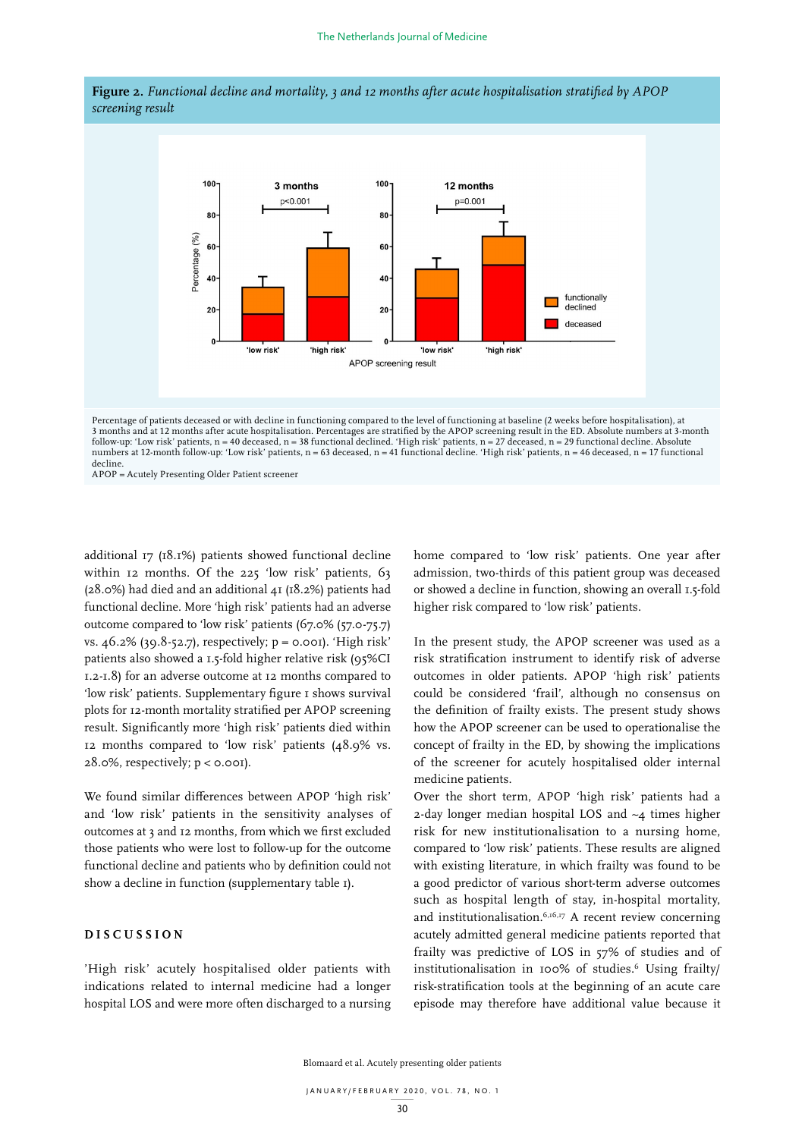



3 months and at 12 months after acute hospitalisation. Percentages are stratified by the APOP screening result in the ED. Absolute numbers at 3-month numbers at 12-month follow-up: 'Low risk' patients, n = 63 deceased, n = 41 functional decline. 'High risk' patients, n = 46 deceased, n = 17 functional APOP = Acutely Presenting Older Patient screener follow-up: 'Low risk' patients, n = 40 deceased, n = 38 functional declined. 'High risk' patients, n = 27 deceased, n = 29 functional decline. Absolute decline

additional 17 (18.1%) patients showed functional decline within 12 months. Of the 225 'low risk' patients, 63 (28.0%) had died and an additional 41 (18.2%) patients had functional decline. More 'high risk' patients had an adverse outcome compared to 'low risk' patients (67.0% (57.0-75.7) vs.  $46.2\%$  (39.8-52.7), respectively;  $p = 0.001$ . 'High risk' patients also showed a 1.5-fold higher relative risk (95%CI 1.2-1.8) for an adverse outcome at 12 months compared to 'low risk' patients. Supplementary figure 1 shows survival plots for 12-month mortality stratified per APOP screening result. Significantly more 'high risk' patients died within 12 months compared to 'low risk' patients (48.9% vs.  $28.0\%$ , respectively;  $p < 0.001$ ).

We found similar differences between APOP 'high risk' over the short term, APOP 'high ris and 'low risk' patients in the sensitivity analyses of outcomes at 3 and 12 months, from which we first excluded those patients who were lost to follow-up for the outcome functional decline and patients who by definition could not show a decline in function (supplementary table 1).

# **DISCUSSION**

'High risk' acutely hospitalised older patients with indications related to internal medicine had a longer hospital LOS and were more often discharged to a nursing home compared to 'low risk' patients. One year after admission, two-thirds of this patient group was deceased or showed a decline in function, showing an overall 1.5-fold higher risk compared to 'low risk' patients.

 $(2.7)$ , respectively;  $p = o.$ 001). 'High risk' In the present study, the APOP screener was used as a wed a 1.5-fold higher relative risk (95%CI arisk stratification instrument to identify risk of adverse verse outcome at 12 months compared to outcomes in older patients. APOP 'high risk' patients could be considered 'frail', although no consensus on 1 The definition of frailty exists. The present study shows in mortality stratified per APOP screening the definition of frailty exists. The present study shows tly more 'high risk' patients died within how the APOP screener can be used to operationalise the pared to 'low risk' patients  $(48.9\%$  vs. concept of frailty in the ED, by showing the implications ely; p < 0.001). The screener for acutely hospitalised older internal or functional or functional or  $\alpha$ medicine patients.

Over the short term, APOP 'high risk' patients had a patients in the sensitivity analyses of  $\alpha$ -day longer median hospital LOS and  $\alpha$  times higher risk for new institutionalisation to a nursing home, compared to 'low risk' patients. These results are aligned with existing literature, in which frailty was found to be a good predictor of various short-term adverse outcomes such as hospital length of stay, in-hospital mortality, and institutionalisation.  $6,16,17$  A recent review concerning acutely admitted general medicine patients reported that frailty was predictive of LOS in 57% of studies and of institutionalisation in 100% of studies.6 Using frailty/ risk-stratification tools at the beginning of an acute care episode may therefore have additional value because it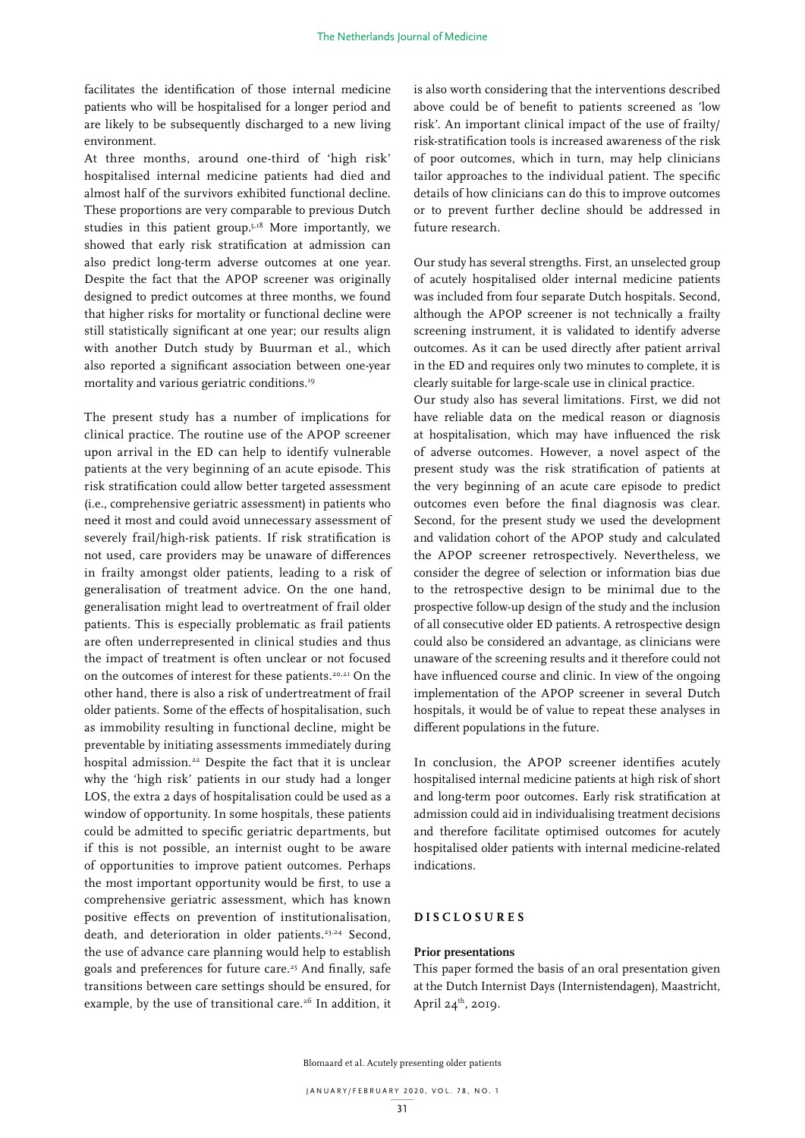facilitates the identification of those internal medicine patients who will be hospitalised for a longer period and are likely to be subsequently discharged to a new living environment.

At three months, around one-third of 'high risk' hospitalised internal medicine patients had died and almost half of the survivors exhibited functional decline. These proportions are very comparable to previous Dutch studies in this patient group.5,18 More importantly, we showed that early risk stratification at admission can also predict long-term adverse outcomes at one year. Despite the fact that the APOP screener was originally designed to predict outcomes at three months, we found that higher risks for mortality or functional decline were still statistically significant at one year; our results align with another Dutch study by Buurman et al., which also reported a significant association between one-year mortality and various geriatric conditions.19

The present study has a number of implications for clinical practice. The routine use of the APOP screener upon arrival in the ED can help to identify vulnerable patients at the very beginning of an acute episode. This risk stratification could allow better targeted assessment (i.e., comprehensive geriatric assessment) in patients who need it most and could avoid unnecessary assessment of severely frail/high-risk patients. If risk stratification is not used, care providers may be unaware of differences in frailty amongst older patients, leading to a risk of generalisation of treatment advice. On the one hand, generalisation might lead to overtreatment of frail older patients. This is especially problematic as frail patients are often underrepresented in clinical studies and thus the impact of treatment is often unclear or not focused on the outcomes of interest for these patients.20,21 On the other hand, there is also a risk of undertreatment of frail older patients. Some of the effects of hospitalisation, such as immobility resulting in functional decline, might be preventable by initiating assessments immediately during hospital admission.<sup>22</sup> Despite the fact that it is unclear why the 'high risk' patients in our study had a longer LOS, the extra 2 days of hospitalisation could be used as a window of opportunity. In some hospitals, these patients could be admitted to specific geriatric departments, but if this is not possible, an internist ought to be aware of opportunities to improve patient outcomes. Perhaps the most important opportunity would be first, to use a comprehensive geriatric assessment, which has known positive effects on prevention of institutionalisation, death, and deterioration in older patients.<sup>23,24</sup> Second, the use of advance care planning would help to establish goals and preferences for future care.<sup>25</sup> And finally, safe transitions between care settings should be ensured, for example, by the use of transitional care.<sup>26</sup> In addition, it

is also worth considering that the interventions described above could be of benefit to patients screened as 'low risk'. An important clinical impact of the use of frailty/ risk-stratification tools is increased awareness of the risk of poor outcomes, which in turn, may help clinicians tailor approaches to the individual patient. The specific details of how clinicians can do this to improve outcomes or to prevent further decline should be addressed in future research.

Our study has several strengths. First, an unselected group of acutely hospitalised older internal medicine patients was included from four separate Dutch hospitals. Second, although the APOP screener is not technically a frailty screening instrument, it is validated to identify adverse outcomes. As it can be used directly after patient arrival in the ED and requires only two minutes to complete, it is clearly suitable for large-scale use in clinical practice.

Our study also has several limitations. First, we did not have reliable data on the medical reason or diagnosis at hospitalisation, which may have influenced the risk of adverse outcomes. However, a novel aspect of the present study was the risk stratification of patients at the very beginning of an acute care episode to predict outcomes even before the final diagnosis was clear. Second, for the present study we used the development and validation cohort of the APOP study and calculated the APOP screener retrospectively. Nevertheless, we consider the degree of selection or information bias due to the retrospective design to be minimal due to the prospective follow-up design of the study and the inclusion of all consecutive older ED patients. A retrospective design could also be considered an advantage, as clinicians were unaware of the screening results and it therefore could not have influenced course and clinic. In view of the ongoing implementation of the APOP screener in several Dutch hospitals, it would be of value to repeat these analyses in different populations in the future.

In conclusion, the APOP screener identifies acutely hospitalised internal medicine patients at high risk of short and long-term poor outcomes. Early risk stratification at admission could aid in individualising treatment decisions and therefore facilitate optimised outcomes for acutely hospitalised older patients with internal medicine-related indications.

# **DISCLOSURES**

# **Prior presentations**

This paper formed the basis of an oral presentation given at the Dutch Internist Days (Internistendagen), Maastricht, April  $24^{th}$ , 2019.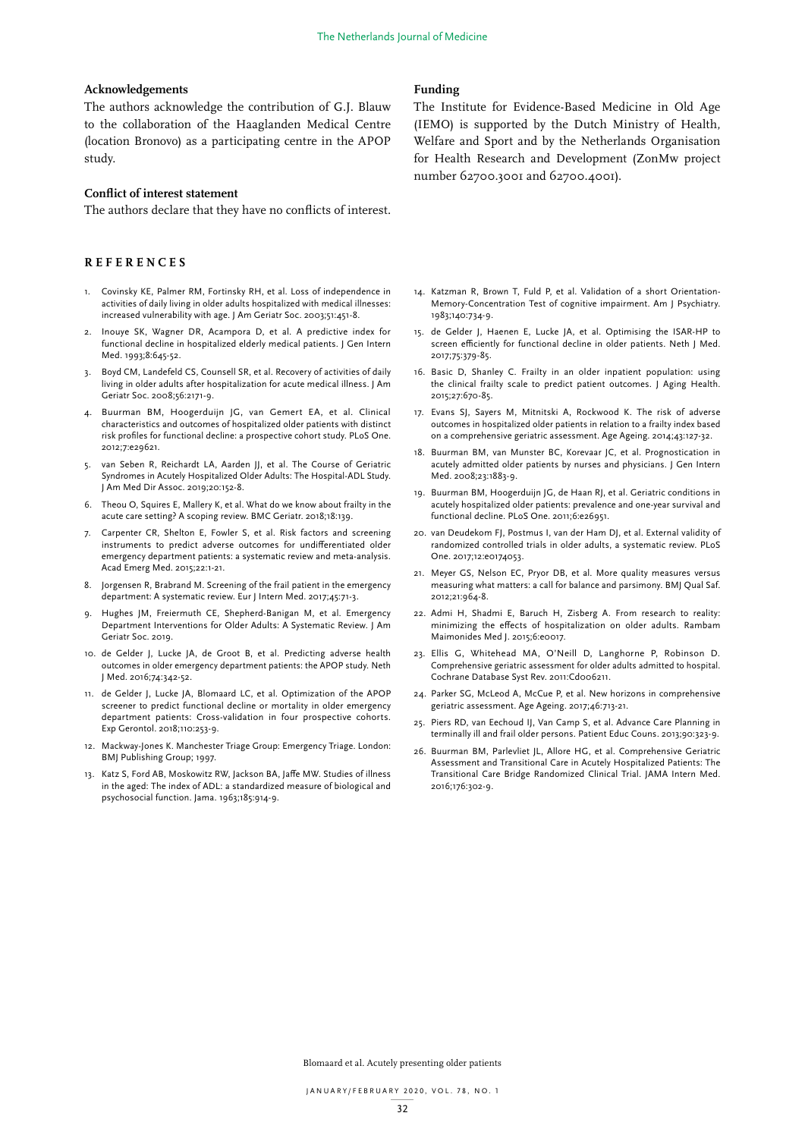### **Acknowledgements**

The authors acknowledge the contribution of G.J. Blauw to the collaboration of the Haaglanden Medical Centre (location Bronovo) as a participating centre in the APOP study.

# **Conflict of interest statement**

The authors declare that they have no conflicts of interest.

## **REFERENCES**

- 1. Covinsky KE, Palmer RM, Fortinsky RH, et al. Loss of independence in activities of daily living in older adults hospitalized with medical illnesses: increased vulnerability with age. J Am Geriatr Soc. 2003;51:451-8.
- 2. Inouye SK, Wagner DR, Acampora D, et al. A predictive index for functional decline in hospitalized elderly medical patients. J Gen Intern Med. 1993;8:645-52.
- 3. Boyd CM, Landefeld CS, Counsell SR, et al. Recovery of activities of daily living in older adults after hospitalization for acute medical illness. J Am Geriatr Soc. 2008;56:2171-9.
- 4. Buurman BM, Hoogerduijn JG, van Gemert EA, et al. Clinical characteristics and outcomes of hospitalized older patients with distinct risk profiles for functional decline: a prospective cohort study. PLoS One. 2012;7:e29621.
- 5. van Seben R, Reichardt LA, Aarden JJ, et al. The Course of Geriatric Syndromes in Acutely Hospitalized Older Adults: The Hospital-ADL Study. J Am Med Dir Assoc. 2019;20:152-8.
- 6. Theou O, Squires E, Mallery K, et al. What do we know about frailty in the acute care setting? A scoping review. BMC Geriatr. 2018;18:139.
- 7. Carpenter CR, Shelton E, Fowler S, et al. Risk factors and screening instruments to predict adverse outcomes for undifferentiated older emergency department patients: a systematic review and meta-analysis. Acad Emerg Med. 2015;22:1-21.
- 8. Jorgensen R, Brabrand M. Screening of the frail patient in the emergency department: A systematic review. Eur J Intern Med. 2017;45:71-3.
- Hughes JM, Freiermuth CE, Shepherd-Banigan M, et al. Emergency Department Interventions for Older Adults: A Systematic Review. J Am Geriatr Soc. 2019.
- 10. de Gelder J, Lucke JA, de Groot B, et al. Predicting adverse health outcomes in older emergency department patients: the APOP study. Neth J Med. 2016;74:342-52.
- 11. de Gelder J, Lucke JA, Blomaard LC, et al. Optimization of the APOP screener to predict functional decline or mortality in older emergency department patients: Cross-validation in four prospective cohorts. Exp Gerontol. 2018;110:253-9.
- 12. Mackway-Jones K. Manchester Triage Group: Emergency Triage. London: BMJ Publishing Group; 1997.
- 13. Katz S, Ford AB, Moskowitz RW, Jackson BA, Jaffe MW. Studies of illness in the aged: The index of ADL: a standardized measure of biological and psychosocial function. Jama. 1963;185:914-9.

## **Funding**

The Institute for Evidence-Based Medicine in Old Age (IEMO) is supported by the Dutch Ministry of Health, Welfare and Sport and by the Netherlands Organisation for Health Research and Development (ZonMw project number 62700.3001 and 62700.4001).

- 14. Katzman R, Brown T, Fuld P, et al. Validation of a short Orientation-Memory-Concentration Test of cognitive impairment. Am J Psychiatry. 1983;140:734-9.
- 15. de Gelder J, Haenen E, Lucke JA, et al. Optimising the ISAR-HP to screen efficiently for functional decline in older patients. Neth J Med. 2017;75:379-85.
- 16. Basic D, Shanley C. Frailty in an older inpatient population: using the clinical frailty scale to predict patient outcomes. J Aging Health. 2015;27:670-85.
- 17. Evans SJ, Sayers M, Mitnitski A, Rockwood K. The risk of adverse outcomes in hospitalized older patients in relation to a frailty index based on a comprehensive geriatric assessment. Age Ageing. 2014;43:127-32.
- 18. Buurman BM, van Munster BC, Korevaar JC, et al. Prognostication in acutely admitted older patients by nurses and physicians. J Gen Intern Med. 2008;23:1883-9.
- 19. Buurman BM, Hoogerduijn JG, de Haan RJ, et al. Geriatric conditions in acutely hospitalized older patients: prevalence and one-year survival and functional decline. PLoS One. 2011;6:e26951.
- 20. van Deudekom FJ, Postmus I, van der Ham DJ, et al. External validity of randomized controlled trials in older adults, a systematic review. PLoS One. 2017;12:e0174053.
- 21. Meyer GS, Nelson EC, Pryor DB, et al. More quality measures versus measuring what matters: a call for balance and parsimony. BMJ Qual Saf. 2012;21:964-8.
- 22. Admi H, Shadmi E, Baruch H, Zisberg A. From research to reality: minimizing the effects of hospitalization on older adults. Rambam Maimonides Med J. 2015;6:e0017.
- 23. Ellis G, Whitehead MA, O'Neill D, Langhorne P, Robinson D. Comprehensive geriatric assessment for older adults admitted to hospital. Cochrane Database Syst Rev. 2011:Cd006211.
- 24. Parker SG, McLeod A, McCue P, et al. New horizons in comprehensive geriatric assessment. Age Ageing. 2017;46:713-21.
- 25. Piers RD, van Eechoud IJ, Van Camp S, et al. Advance Care Planning in terminally ill and frail older persons. Patient Educ Couns. 2013;90:323-9.
- 26. Buurman BM, Parlevliet JL, Allore HG, et al. Comprehensive Geriatric Assessment and Transitional Care in Acutely Hospitalized Patients: The Transitional Care Bridge Randomized Clinical Trial. JAMA Intern Med. 2016;176:302-9.